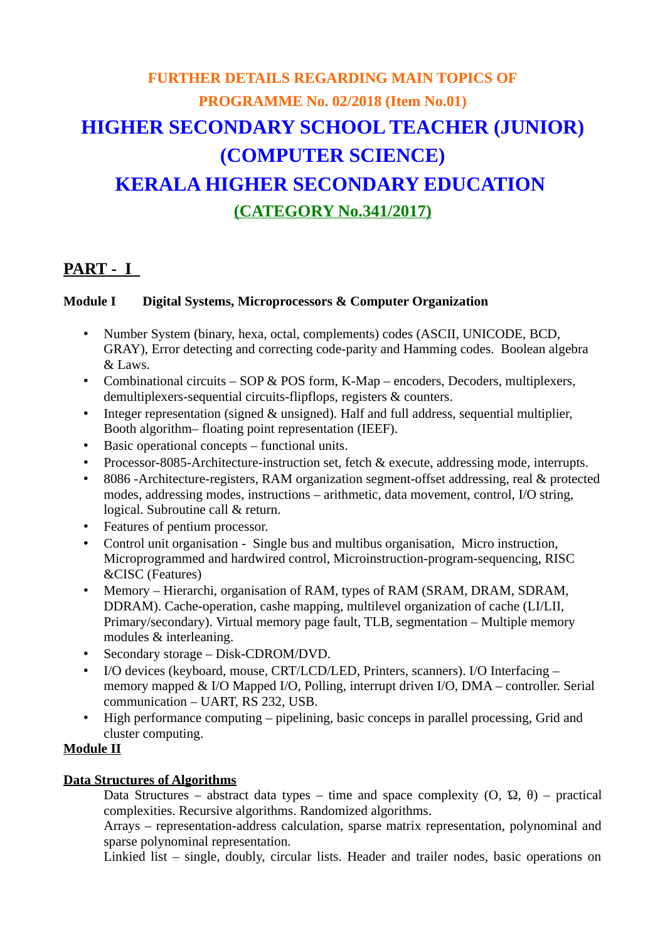# **FURTHER DETAILS REGARDING MAIN TOPICS OF PROGRAMME No. 02/2018 (Item No.01) HIGHER SECONDARY SCHOOL TEACHER (JUNIOR) (COMPUTER SCIENCE) KERALA HIGHER SECONDARY EDUCATION (CATEGORY No.341/2017)**

# **PART - I**

# **Module I Digital Systems, Microprocessors & Computer Organization**

- Number System (binary, hexa, octal, complements) codes (ASCII, UNICODE, BCD, GRAY), Error detecting and correcting code-parity and Hamming codes. Boolean algebra & Laws.
- Combinational circuits SOP & POS form, K-Map encoders, Decoders, multiplexers, demultiplexers-sequential circuits-flipflops, registers & counters.
- Integer representation (signed & unsigned). Half and full address, sequential multiplier, Booth algorithm– floating point representation (IEEF).
- Basic operational concepts functional units.
- Processor-8085-Architecture-instruction set, fetch & execute, addressing mode, interrupts.
- 8086 -Architecture-registers, RAM organization segment-offset addressing, real & protected modes, addressing modes, instructions – arithmetic, data movement, control, I/O string, logical. Subroutine call & return.
- Features of pentium processor.
- Control unit organisation Single bus and multibus organisation, Micro instruction, Microprogrammed and hardwired control, Microinstruction-program-sequencing, RISC &CISC (Features)
- Memory Hierarchi, organisation of RAM, types of RAM (SRAM, DRAM, SDRAM, DDRAM). Cache-operation, cashe mapping, multilevel organization of cache (LI/LII, Primary/secondary). Virtual memory page fault, TLB, segmentation – Multiple memory modules & interleaning.
- Secondary storage Disk-CDROM/DVD.
- I/O devices (keyboard, mouse, CRT/LCD/LED, Printers, scanners). I/O Interfacing memory mapped & I/O Mapped I/O, Polling, interrupt driven I/O, DMA – controller. Serial communication – UART, RS 232, USB.
- High performance computing pipelining, basic conceps in parallel processing, Grid and cluster computing.

# **Module II**

# **Data Structures of Algorithms**

Data Structures – abstract data types – time and space complexity  $(0, \Omega, \theta)$  – practical complexities. Recursive algorithms. Randomized algorithms.

Arrays – representation-address calculation, sparse matrix representation, polynominal and sparse polynominal representation.

Linkied list – single, doubly, circular lists. Header and trailer nodes, basic operations on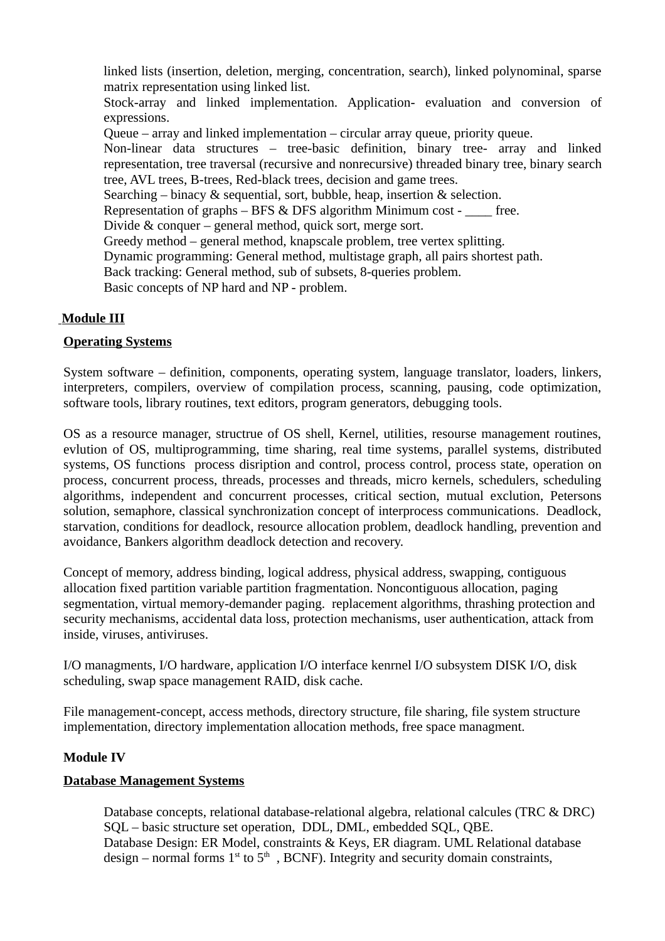linked lists (insertion, deletion, merging, concentration, search), linked polynominal, sparse matrix representation using linked list. Stock-array and linked implementation. Application- evaluation and conversion of expressions. Queue – array and linked implementation – circular array queue, priority queue. Non-linear data structures – tree-basic definition, binary tree- array and linked representation, tree traversal (recursive and nonrecursive) threaded binary tree, binary search tree, AVL trees, B-trees, Red-black trees, decision and game trees. Searching – binacy & sequential, sort, bubble, heap, insertion & selection. Representation of graphs  $-$  BFS & DFS algorithm Minimum cost  $-$  free. Divide & conquer – general method, quick sort, merge sort. Greedy method – general method, knapscale problem, tree vertex splitting. Dynamic programming: General method, multistage graph, all pairs shortest path. Back tracking: General method, sub of subsets, 8-queries problem. Basic concepts of NP hard and NP - problem.

#### **Module III**

#### **Operating Systems**

System software – definition, components, operating system, language translator, loaders, linkers, interpreters, compilers, overview of compilation process, scanning, pausing, code optimization, software tools, library routines, text editors, program generators, debugging tools.

OS as a resource manager, structrue of OS shell, Kernel, utilities, resourse management routines, evlution of OS, multiprogramming, time sharing, real time systems, parallel systems, distributed systems, OS functions process disription and control, process control, process state, operation on process, concurrent process, threads, processes and threads, micro kernels, schedulers, scheduling algorithms, independent and concurrent processes, critical section, mutual exclution, Petersons solution, semaphore, classical synchronization concept of interprocess communications. Deadlock, starvation, conditions for deadlock, resource allocation problem, deadlock handling, prevention and avoidance, Bankers algorithm deadlock detection and recovery.

Concept of memory, address binding, logical address, physical address, swapping, contiguous allocation fixed partition variable partition fragmentation. Noncontiguous allocation, paging segmentation, virtual memory-demander paging. replacement algorithms, thrashing protection and security mechanisms, accidental data loss, protection mechanisms, user authentication, attack from inside, viruses, antiviruses.

I/O managments, I/O hardware, application I/O interface kenrnel I/O subsystem DISK I/O, disk scheduling, swap space management RAID, disk cache.

File management-concept, access methods, directory structure, file sharing, file system structure implementation, directory implementation allocation methods, free space managment.

#### **Module IV**

#### **Database Management Systems**

Database concepts, relational database-relational algebra, relational calcules (TRC & DRC) SQL – basic structure set operation, DDL, DML, embedded SQL, QBE. Database Design: ER Model, constraints & Keys, ER diagram. UML Relational database design – normal forms  $1<sup>st</sup>$  to  $5<sup>th</sup>$ , BCNF). Integrity and security domain constraints,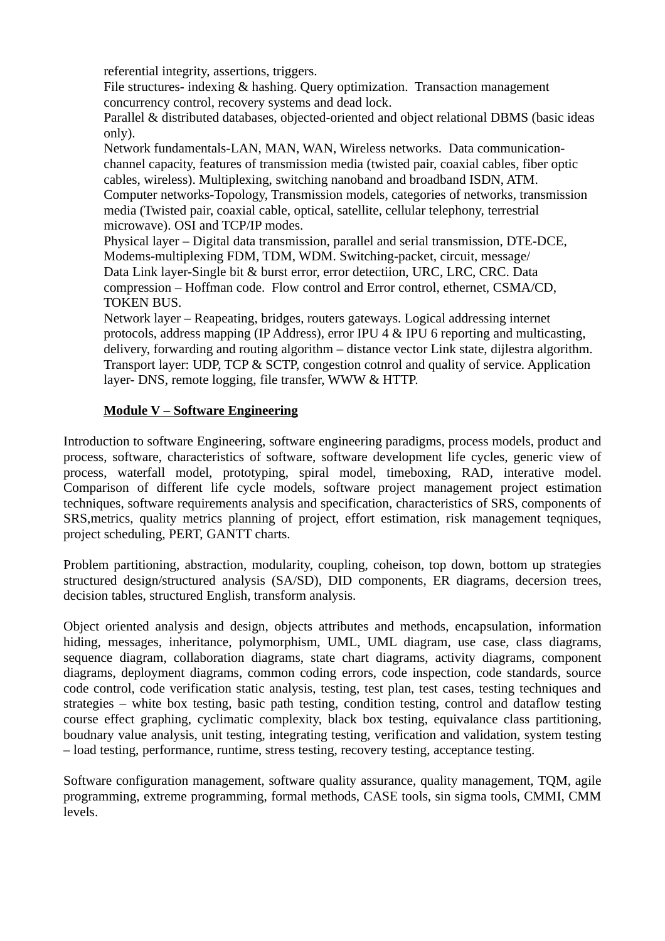referential integrity, assertions, triggers.

File structures- indexing & hashing. Query optimization. Transaction management concurrency control, recovery systems and dead lock.

Parallel & distributed databases, objected-oriented and object relational DBMS (basic ideas only).

Network fundamentals-LAN, MAN, WAN, Wireless networks. Data communicationchannel capacity, features of transmission media (twisted pair, coaxial cables, fiber optic cables, wireless). Multiplexing, switching nanoband and broadband ISDN, ATM. Computer networks-Topology, Transmission models, categories of networks, transmission media (Twisted pair, coaxial cable, optical, satellite, cellular telephony, terrestrial microwave). OSI and TCP/IP modes.

Physical layer – Digital data transmission, parallel and serial transmission, DTE-DCE, Modems-multiplexing FDM, TDM, WDM. Switching-packet, circuit, message/ Data Link layer-Single bit & burst error, error detectiion, URC, LRC, CRC. Data compression – Hoffman code. Flow control and Error control, ethernet, CSMA/CD, TOKEN BUS.

Network layer – Reapeating, bridges, routers gateways. Logical addressing internet protocols, address mapping (IP Address), error IPU 4 & IPU 6 reporting and multicasting, delivery, forwarding and routing algorithm – distance vector Link state, dijlestra algorithm. Transport layer: UDP, TCP & SCTP, congestion cotnrol and quality of service. Application layer- DNS, remote logging, file transfer, WWW & HTTP.

# **Module V – Software Engineering**

Introduction to software Engineering, software engineering paradigms, process models, product and process, software, characteristics of software, software development life cycles, generic view of process, waterfall model, prototyping, spiral model, timeboxing, RAD, interative model. Comparison of different life cycle models, software project management project estimation techniques, software requirements analysis and specification, characteristics of SRS, components of SRS,metrics, quality metrics planning of project, effort estimation, risk management teqniques, project scheduling, PERT, GANTT charts.

Problem partitioning, abstraction, modularity, coupling, coheison, top down, bottom up strategies structured design/structured analysis (SA/SD), DID components, ER diagrams, decersion trees, decision tables, structured English, transform analysis.

Object oriented analysis and design, objects attributes and methods, encapsulation, information hiding, messages, inheritance, polymorphism, UML, UML diagram, use case, class diagrams, sequence diagram, collaboration diagrams, state chart diagrams, activity diagrams, component diagrams, deployment diagrams, common coding errors, code inspection, code standards, source code control, code verification static analysis, testing, test plan, test cases, testing techniques and strategies – white box testing, basic path testing, condition testing, control and dataflow testing course effect graphing, cyclimatic complexity, black box testing, equivalance class partitioning, boudnary value analysis, unit testing, integrating testing, verification and validation, system testing – load testing, performance, runtime, stress testing, recovery testing, acceptance testing.

Software configuration management, software quality assurance, quality management, TQM, agile programming, extreme programming, formal methods, CASE tools, sin sigma tools, CMMI, CMM levels.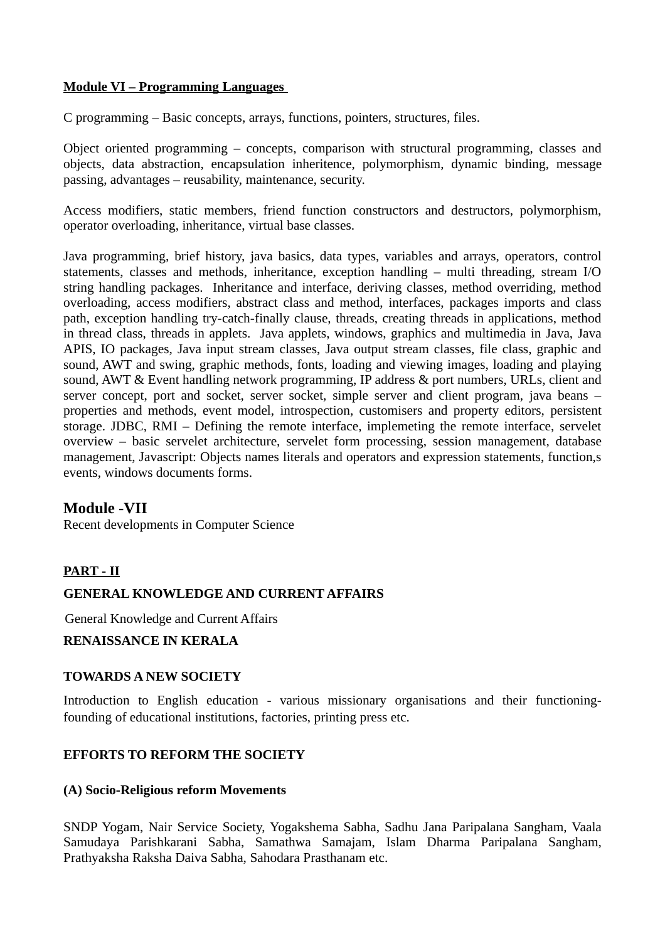### **Module VI – Programming Languages**

C programming – Basic concepts, arrays, functions, pointers, structures, files.

Object oriented programming – concepts, comparison with structural programming, classes and objects, data abstraction, encapsulation inheritence, polymorphism, dynamic binding, message passing, advantages – reusability, maintenance, security.

Access modifiers, static members, friend function constructors and destructors, polymorphism, operator overloading, inheritance, virtual base classes.

Java programming, brief history, java basics, data types, variables and arrays, operators, control statements, classes and methods, inheritance, exception handling – multi threading, stream I/O string handling packages. Inheritance and interface, deriving classes, method overriding, method overloading, access modifiers, abstract class and method, interfaces, packages imports and class path, exception handling try-catch-finally clause, threads, creating threads in applications, method in thread class, threads in applets. Java applets, windows, graphics and multimedia in Java, Java APIS, IO packages, Java input stream classes, Java output stream classes, file class, graphic and sound, AWT and swing, graphic methods, fonts, loading and viewing images, loading and playing sound, AWT & Event handling network programming, IP address & port numbers, URLs, client and server concept, port and socket, server socket, simple server and client program, java beans – properties and methods, event model, introspection, customisers and property editors, persistent storage. JDBC, RMI – Defining the remote interface, implemeting the remote interface, servelet overview – basic servelet architecture, servelet form processing, session management, database management, Javascript: Objects names literals and operators and expression statements, function,s events, windows documents forms.

# **Module -VII**

Recent developments in Computer Science

# **PART - II**

#### **GENERAL KNOWLEDGE AND CURRENT AFFAIRS**

General Knowledge and Current Affairs

#### **RENAISSANCE IN KERALA**

#### **TOWARDS A NEW SOCIETY**

Introduction to English education - various missionary organisations and their functioningfounding of educational institutions, factories, printing press etc.

# **EFFORTS TO REFORM THE SOCIETY**

#### **(A) Socio-Religious reform Movements**

SNDP Yogam, Nair Service Society, Yogakshema Sabha, Sadhu Jana Paripalana Sangham, Vaala Samudaya Parishkarani Sabha, Samathwa Samajam, Islam Dharma Paripalana Sangham, Prathyaksha Raksha Daiva Sabha, Sahodara Prasthanam etc.